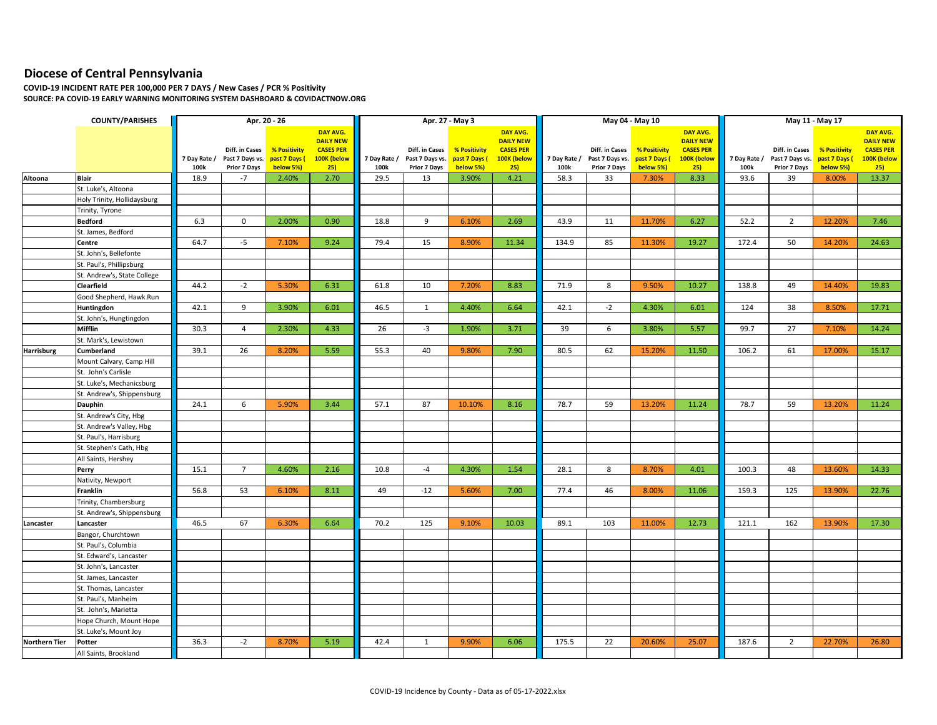## **Diocese of Central Pennsylvania**

**COVID-19 INCIDENT RATE PER 100,000 PER 7 DAYS / New Cases / PCR % Positivity SOURCE: PA COVID-19 EARLY WARNING MONITORING SYSTEM DASHBOARD & COVIDACTNOW.ORG**

|                      | <b>COUNTY/PARISHES</b>      |              |                                   | Apr. 20 - 26                  |                                 | Apr. 27 - May 3 |                                   |                               |                                 |              |                                   | May 04 - May 10               |                                 | May 11 - May 17 |                                   |                               |                                 |
|----------------------|-----------------------------|--------------|-----------------------------------|-------------------------------|---------------------------------|-----------------|-----------------------------------|-------------------------------|---------------------------------|--------------|-----------------------------------|-------------------------------|---------------------------------|-----------------|-----------------------------------|-------------------------------|---------------------------------|
|                      |                             |              |                                   |                               | DAY AVG.                        |                 |                                   |                               | DAY AVG.                        |              |                                   |                               | DAY AVG.                        |                 |                                   |                               | DAY AVG.                        |
|                      |                             |              |                                   |                               | <b>DAILY NEW</b>                |                 |                                   |                               | <b>DAILY NEW</b>                |              |                                   |                               | <b>DAILY NEW</b>                |                 |                                   |                               | <b>DAILY NEW</b>                |
|                      |                             | 7 Day Rate / | Diff. in Cases<br>Past 7 Days vs. | % Positivity<br>past 7 Days ( | <b>CASES PER</b><br>100K (below | 7 Day Rate /    | Diff. in Cases<br>Past 7 Days vs. | % Positivity<br>past 7 Days ( | <b>CASES PER</b><br>100K (below | 7 Day Rate / | Diff. in Cases<br>Past 7 Days vs. | % Positivity<br>past 7 Days ( | <b>CASES PER</b><br>100K (below | 7 Day Rate /    | Diff. in Cases<br>Past 7 Days vs. | % Positivity<br>past 7 Days ( | <b>CASES PER</b><br>100K (below |
|                      |                             | 100k         | Prior 7 Days                      | below 5%)                     | 25)                             | 100k            | Prior 7 Days                      | below 5%)                     | 25)                             | 100k         | Prior 7 Days                      | below 5%)                     | 25)                             | 100k            | Prior 7 Days                      | below 5%)                     | 25)                             |
| Altoona              | <b>Blair</b>                | 18.9         | $-7$                              | 2.40%                         | 2.70                            | 29.5            | 13                                | 3.90%                         | 4.21                            | 58.3         | 33                                | 7.30%                         | 8.33                            | 93.6            | 39                                | 8.00%                         | 13.37                           |
|                      | St. Luke's, Altoona         |              |                                   |                               |                                 |                 |                                   |                               |                                 |              |                                   |                               |                                 |                 |                                   |                               |                                 |
|                      | Holy Trinity, Hollidaysburg |              |                                   |                               |                                 |                 |                                   |                               |                                 |              |                                   |                               |                                 |                 |                                   |                               |                                 |
|                      | Trinity, Tyrone             |              |                                   |                               |                                 |                 |                                   |                               |                                 |              |                                   |                               |                                 |                 |                                   |                               |                                 |
|                      | <b>Bedford</b>              | 6.3          | $\mathbf 0$                       | 2.00%                         | 0.90                            | 18.8            | 9                                 | 6.10%                         | 2.69                            | 43.9         | 11                                | 11.70%                        | 6.27                            | 52.2            | $\overline{2}$                    | 12.20%                        | 7.46                            |
|                      | St. James, Bedford          |              |                                   |                               |                                 |                 |                                   |                               |                                 |              |                                   |                               |                                 |                 |                                   |                               |                                 |
|                      | Centre                      | 64.7         | $-5$                              | 7.10%                         | 9.24                            | 79.4            | 15                                | 8.90%                         | 11.34                           | 134.9        | 85                                | 11.30%                        | 19.27                           | 172.4           | 50                                | 14.20%                        | 24.63                           |
|                      | St. John's, Bellefonte      |              |                                   |                               |                                 |                 |                                   |                               |                                 |              |                                   |                               |                                 |                 |                                   |                               |                                 |
|                      | St. Paul's, Phillipsburg    |              |                                   |                               |                                 |                 |                                   |                               |                                 |              |                                   |                               |                                 |                 |                                   |                               |                                 |
|                      | St. Andrew's, State College |              |                                   |                               |                                 |                 |                                   |                               |                                 |              |                                   |                               |                                 |                 |                                   |                               |                                 |
|                      | Clearfield                  | 44.2         | $-2$                              | 5.30%                         | 6.31                            | 61.8            | 10                                | 7.20%                         | 8.83                            | 71.9         | 8                                 | 9.50%                         | 10.27                           | 138.8           | 49                                | 14.40%                        | 19.83                           |
|                      | Good Shepherd, Hawk Run     |              |                                   |                               |                                 |                 |                                   |                               |                                 |              |                                   |                               |                                 |                 |                                   |                               |                                 |
|                      | Huntingdon                  | 42.1         | 9                                 | 3.90%                         | 6.01                            | 46.5            | $\mathbf{1}$                      | 4.40%                         | 6.64                            | 42.1         | $-2$                              | 4.30%                         | 6.01                            | 124             | 38                                | 8.50%                         | 17.71                           |
|                      | St. John's, Hungtingdon     |              |                                   |                               |                                 |                 |                                   |                               |                                 |              |                                   |                               |                                 |                 |                                   |                               |                                 |
|                      | Mifflin                     | 30.3         | $\overline{4}$                    | 2.30%                         | 4.33                            | 26              | $-3$                              | 1.90%                         | 3.71                            | 39           | 6                                 | 3.80%                         | 5.57                            | 99.7            | 27                                | 7.10%                         | 14.24                           |
|                      | St. Mark's, Lewistown       |              |                                   |                               |                                 |                 |                                   |                               |                                 |              |                                   |                               |                                 |                 |                                   |                               |                                 |
| Harrisburg           | Cumberland                  | 39.1         | 26                                | 8.20%                         | 5.59                            | 55.3            | 40                                | 9.80%                         | 7.90                            | 80.5         | 62                                | 15.20%                        | 11.50                           | 106.2           | 61                                | 17.00%                        | 15.17                           |
|                      | Mount Calvary, Camp Hill    |              |                                   |                               |                                 |                 |                                   |                               |                                 |              |                                   |                               |                                 |                 |                                   |                               |                                 |
|                      | St. John's Carlisle         |              |                                   |                               |                                 |                 |                                   |                               |                                 |              |                                   |                               |                                 |                 |                                   |                               |                                 |
|                      | St. Luke's, Mechanicsburg   |              |                                   |                               |                                 |                 |                                   |                               |                                 |              |                                   |                               |                                 |                 |                                   |                               |                                 |
|                      | St. Andrew's, Shippensburg  |              |                                   |                               |                                 |                 |                                   |                               |                                 |              |                                   |                               |                                 |                 |                                   |                               |                                 |
|                      | Dauphin                     | 24.1         | 6                                 | 5.90%                         | 3.44                            | 57.1            | 87                                | 10.10%                        | 8.16                            | 78.7         | 59                                | 13.20%                        | 11.24                           | 78.7            | 59                                | 13.20%                        | 11.24                           |
|                      | St. Andrew's City, Hbg      |              |                                   |                               |                                 |                 |                                   |                               |                                 |              |                                   |                               |                                 |                 |                                   |                               |                                 |
|                      | St. Andrew's Valley, Hbg    |              |                                   |                               |                                 |                 |                                   |                               |                                 |              |                                   |                               |                                 |                 |                                   |                               |                                 |
|                      | St. Paul's, Harrisburg      |              |                                   |                               |                                 |                 |                                   |                               |                                 |              |                                   |                               |                                 |                 |                                   |                               |                                 |
|                      | St. Stephen's Cath, Hbg     |              |                                   |                               |                                 |                 |                                   |                               |                                 |              |                                   |                               |                                 |                 |                                   |                               |                                 |
|                      | All Saints, Hershey         |              |                                   |                               |                                 |                 |                                   |                               |                                 |              |                                   |                               |                                 |                 |                                   |                               |                                 |
|                      | Perry                       | 15.1         | $7^{\circ}$                       | 4.60%                         | 2.16                            | 10.8            | $-4$                              | 4.30%                         | 1.54                            | 28.1         | 8                                 | 8.70%                         | 4.01                            | 100.3           | 48                                | 13.60%                        | 14.33                           |
|                      | Nativity, Newport           |              |                                   |                               |                                 |                 |                                   |                               |                                 |              |                                   |                               |                                 |                 |                                   |                               |                                 |
|                      | Franklin                    | 56.8         | 53                                | 6.10%                         | 8.11                            | 49              | $-12$                             | 5.60%                         | 7.00                            | 77.4         | 46                                | 8.00%                         | 11.06                           | 159.3           | 125                               | 13.90%                        | 22.76                           |
|                      | Trinity, Chambersburg       |              |                                   |                               |                                 |                 |                                   |                               |                                 |              |                                   |                               |                                 |                 |                                   |                               |                                 |
|                      | St. Andrew's, Shippensburg  |              |                                   |                               |                                 |                 |                                   |                               |                                 |              |                                   |                               |                                 |                 |                                   |                               |                                 |
| Lancaster            | Lancaster                   | 46.5         | 67                                | 6.30%                         | 6.64                            | 70.2            | 125                               | 9.10%                         | 10.03                           | 89.1         | 103                               | 11.00%                        | 12.73                           | 121.1           | 162                               | 13.90%                        | 17.30                           |
|                      | Bangor, Churchtown          |              |                                   |                               |                                 |                 |                                   |                               |                                 |              |                                   |                               |                                 |                 |                                   |                               |                                 |
|                      | St. Paul's, Columbia        |              |                                   |                               |                                 |                 |                                   |                               |                                 |              |                                   |                               |                                 |                 |                                   |                               |                                 |
|                      | St. Edward's, Lancaster     |              |                                   |                               |                                 |                 |                                   |                               |                                 |              |                                   |                               |                                 |                 |                                   |                               |                                 |
|                      | St. John's, Lancaster       |              |                                   |                               |                                 |                 |                                   |                               |                                 |              |                                   |                               |                                 |                 |                                   |                               |                                 |
|                      | St. James, Lancaster        |              |                                   |                               |                                 |                 |                                   |                               |                                 |              |                                   |                               |                                 |                 |                                   |                               |                                 |
|                      | St. Thomas, Lancaster       |              |                                   |                               |                                 |                 |                                   |                               |                                 |              |                                   |                               |                                 |                 |                                   |                               |                                 |
|                      | St. Paul's, Manheim         |              |                                   |                               |                                 |                 |                                   |                               |                                 |              |                                   |                               |                                 |                 |                                   |                               |                                 |
|                      | St. John's, Marietta        |              |                                   |                               |                                 |                 |                                   |                               |                                 |              |                                   |                               |                                 |                 |                                   |                               |                                 |
|                      | Hope Church, Mount Hope     |              |                                   |                               |                                 |                 |                                   |                               |                                 |              |                                   |                               |                                 |                 |                                   |                               |                                 |
|                      | St. Luke's, Mount Joy       |              |                                   |                               |                                 |                 |                                   |                               |                                 |              |                                   |                               |                                 |                 |                                   |                               |                                 |
| <b>Northern Tier</b> | Potter                      | 36.3         | $-2$                              | 8.70%                         | 5.19                            | 42.4            | 1                                 | 9.90%                         | 6.06                            | 175.5        | 22                                | 20.60%                        | 25.07                           | 187.6           | $\overline{2}$                    | 22.70%                        | 26.80                           |
|                      | All Saints, Brookland       |              |                                   |                               |                                 |                 |                                   |                               |                                 |              |                                   |                               |                                 |                 |                                   |                               |                                 |